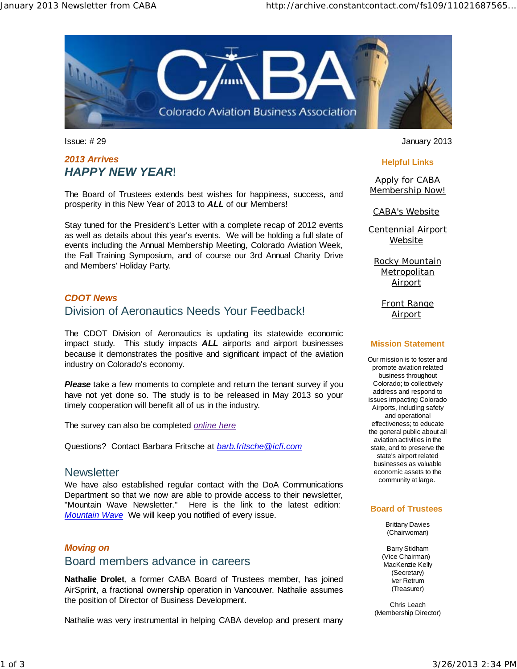

## *2013 Arrives HAPPY NEW YEAR*!

The Board of Trustees extends best wishes for happiness, success, and prosperity in this New Year of 2013 to *ALL* of our Members!

Stay tuned for the President's Letter with a complete recap of 2012 events as well as details about this year's events. We will be holding a full slate of events including the Annual Membership Meeting, Colorado Aviation Week, the Fall Training Symposium, and of course our 3rd Annual Charity Drive and Members' Holiday Party.

## *CDOT News*

## Division of Aeronautics Needs Your Feedback!

The CDOT Division of Aeronautics is updating its statewide economic impact study. This study impacts *ALL* airports and airport businesses because it demonstrates the positive and significant impact of the aviation industry on Colorado's economy.

**Please** take a few moments to complete and return the tenant survey if you have not yet done so. The study is to be released in May 2013 so your timely cooperation will benefit all of us in the industry.

The survey can also be completed *online here*

Questions? Contact Barbara Fritsche at *barb.fritsche@icfi.com* 

## **Newsletter**

We have also established regular contact with the DoA Communications Department so that we now are able to provide access to their newsletter, "Mountain Wave Newsletter." Here is the link to the latest edition: *Mountain Wave* We will keep you notified of every issue.

## *Moving on*

## Board members advance in careers

**Nathalie Drolet**, a former CABA Board of Trustees member, has joined AirSprint, a fractional ownership operation in Vancouver. Nathalie assumes the position of Director of Business Development.

Nathalie was very instrumental in helping CABA develop and present many

Issue: # 29 January 2013

#### **Helpful Links**

Apply for CABA Membership Now!

CABA's Website

Centennial Airport Website

Rocky Mountain **Metropolitan Airport** 

Front Range **Airport** 

#### **Mission Statement**

Our mission is to foster and promote aviation related business throughout Colorado; to collectively address and respond to issues impacting Colorado Airports, including safety and operational effectiveness; to educate the general public about all aviation activities in the state, and to preserve the state's airport related businesses as valuable economic assets to the community at large.

#### **Board of Trustees**

Brittany Davies (Chairwoman)

Barry Stidham (Vice Chairman) MacKenzie Kelly (Secretary) Iver Retrum (Treasurer)

Chris Leach (Membership Director)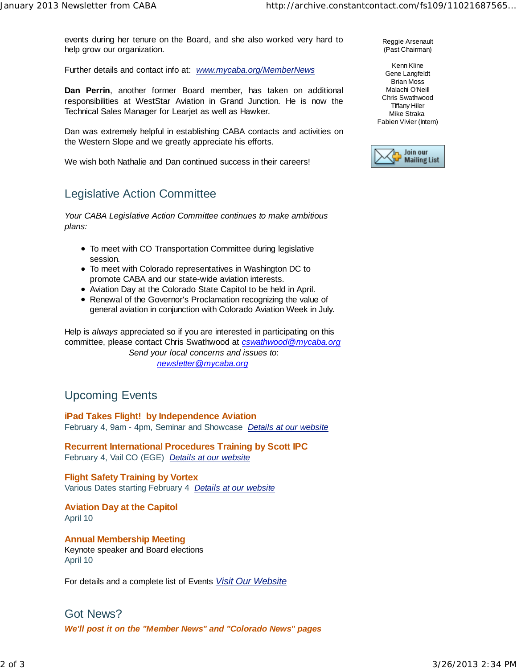events during her tenure on the Board, and she also worked very hard to help grow our organization.

Further details and contact info at: *www.mycaba.org/MemberNews*

**Dan Perrin**, another former Board member, has taken on additional responsibilities at WestStar Aviation in Grand Junction. He is now the Technical Sales Manager for Learjet as well as Hawker.

Dan was extremely helpful in establishing CABA contacts and activities on the Western Slope and we greatly appreciate his efforts.

We wish both Nathalie and Dan continued success in their careers!

# Legislative Action Committee

*Your CABA Legislative Action Committee continues to make ambitious plans:*

- To meet with CO Transportation Committee during legislative session.
- To meet with Colorado representatives in Washington DC to promote CABA and our state-wide aviation interests.
- Aviation Day at the Colorado State Capitol to be held in April.
- Renewal of the Governor's Proclamation recognizing the value of general aviation in conjunction with Colorado Aviation Week in July.

Help is *always* appreciated so if you are interested in participating on this committee, please contact Chris Swathwood at *cswathwood@mycaba.org Send your local concerns and issues to*: *newsletter@mycaba.org*

## Upcoming Events

**iPad Takes Flight! by Independence Aviation**  February 4, 9am - 4pm, Seminar and Showcase *Details at our website*

**Recurrent International Procedures Training by Scott IPC**  February 4, Vail CO (EGE) *Details at our website*

**Flight Safety Training by Vortex**  Various Dates starting February 4 *Details at our website*

**Aviation Day at the Capitol** April 10

**Annual Membership Meeting** Keynote speaker and Board elections April 10

For details and a complete list of Events *Visit Our Website*

# Got News? *We'll post it on the "Member News" and "Colorado News" pages*

Reggie Arsenault (Past Chairman)

Kenn Kline Gene Langfeldt Brian Moss Malachi O'Neill Chris Swathwood TIffany Hiler Mike Straka Fabien Vivier (Intern)